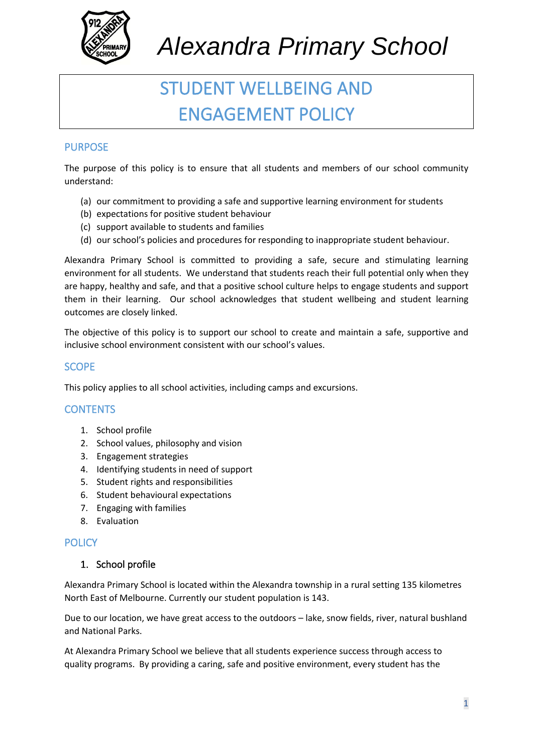

# STUDENT WELLBEING AND ENGAGEMENT POLICY

# PURPOSE

The purpose of this policy is to ensure that all students and members of our school community understand:

- (a) our commitment to providing a safe and supportive learning environment for students
- (b) expectations for positive student behaviour
- (c) support available to students and families
- (d) our school's policies and procedures for responding to inappropriate student behaviour.

Alexandra Primary School is committed to providing a safe, secure and stimulating learning environment for all students. We understand that students reach their full potential only when they are happy, healthy and safe, and that a positive school culture helps to engage students and support them in their learning. Our school acknowledges that student wellbeing and student learning outcomes are closely linked.

The objective of this policy is to support our school to create and maintain a safe, supportive and inclusive school environment consistent with our school's values.

# **SCOPE**

This policy applies to all school activities, including camps and excursions.

### **CONTENTS**

- 1. School profile
- 2. School values, philosophy and vision
- 3. Engagement strategies
- 4. Identifying students in need of support
- 5. Student rights and responsibilities
- 6. Student behavioural expectations
- 7. Engaging with families
- 8. Evaluation

### **POLICY**

### 1. School profile

Alexandra Primary School is located within the Alexandra township in a rural setting 135 kilometres North East of Melbourne. Currently our student population is 143.

Due to our location, we have great access to the outdoors – lake, snow fields, river, natural bushland and National Parks.

At Alexandra Primary School we believe that all students experience success through access to quality programs. By providing a caring, safe and positive environment, every student has the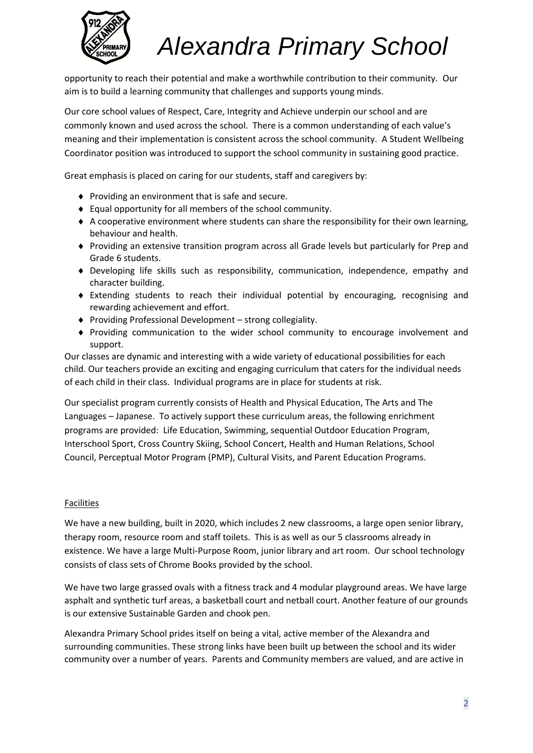

opportunity to reach their potential and make a worthwhile contribution to their community. Our aim is to build a learning community that challenges and supports young minds.

Our core school values of Respect, Care, Integrity and Achieve underpin our school and are commonly known and used across the school. There is a common understanding of each value's meaning and their implementation is consistent across the school community. A Student Wellbeing Coordinator position was introduced to support the school community in sustaining good practice.

Great emphasis is placed on caring for our students, staff and caregivers by:

- ◆ Providing an environment that is safe and secure.
- Equal opportunity for all members of the school community.
- A cooperative environment where students can share the responsibility for their own learning, behaviour and health.
- Providing an extensive transition program across all Grade levels but particularly for Prep and Grade 6 students.
- Developing life skills such as responsibility, communication, independence, empathy and character building.
- Extending students to reach their individual potential by encouraging, recognising and rewarding achievement and effort.
- Providing Professional Development strong collegiality.
- Providing communication to the wider school community to encourage involvement and support.

Our classes are dynamic and interesting with a wide variety of educational possibilities for each child. Our teachers provide an exciting and engaging curriculum that caters for the individual needs of each child in their class. Individual programs are in place for students at risk.

Our specialist program currently consists of Health and Physical Education, The Arts and The Languages – Japanese. To actively support these curriculum areas, the following enrichment programs are provided: Life Education, Swimming, sequential Outdoor Education Program, Interschool Sport, Cross Country Skiing, School Concert, Health and Human Relations, School Council, Perceptual Motor Program (PMP), Cultural Visits, and Parent Education Programs.

#### **Facilities**

We have a new building, built in 2020, which includes 2 new classrooms, a large open senior library, therapy room, resource room and staff toilets. This is as well as our 5 classrooms already in existence. We have a large Multi-Purpose Room, junior library and art room. Our school technology consists of class sets of Chrome Books provided by the school.

We have two large grassed ovals with a fitness track and 4 modular playground areas. We have large asphalt and synthetic turf areas, a basketball court and netball court. Another feature of our grounds is our extensive Sustainable Garden and chook pen.

Alexandra Primary School prides itself on being a vital, active member of the Alexandra and surrounding communities. These strong links have been built up between the school and its wider community over a number of years. Parents and Community members are valued, and are active in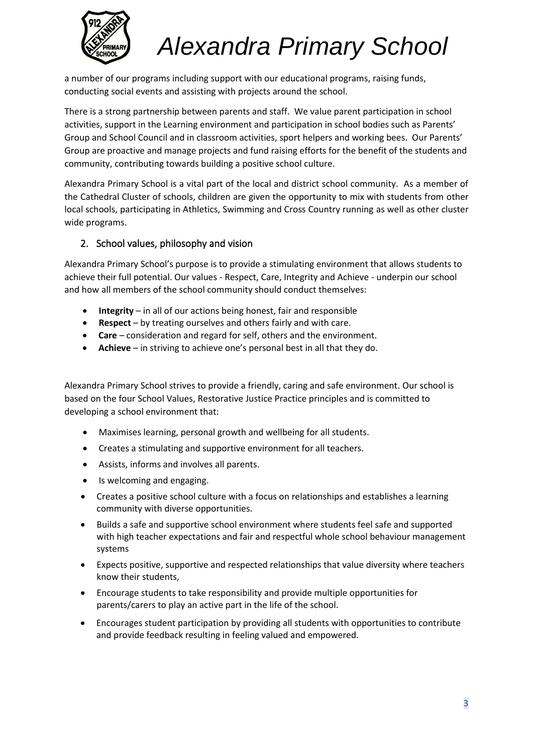

a number of our programs including support with our educational programs, raising funds, conducting social events and assisting with projects around the school.

There is a strong partnership between parents and staff. We value parent participation in school activities, support in the Learning environment and participation in school bodies such as Parents' Group and School Council and in classroom activities, sport helpers and working bees. Our Parents' Group are proactive and manage projects and fund raising efforts for the benefit of the students and community, contributing towards building a positive school culture.

Alexandra Primary School is a vital part of the local and district school community. As a member of the Cathedral Cluster of schools, children are given the opportunity to mix with students from other local schools, participating in Athletics, Swimming and Cross Country running as well as other cluster wide programs.

## 2. School values, philosophy and vision

Alexandra Primary School's purpose is to provide a stimulating environment that allows students to achieve their full potential. Our values - Respect, Care, Integrity and Achieve - underpin our school and how all members of the school community should conduct themselves:

- **Integrity**  in all of our actions being honest, fair and responsible
- **Respect**  by treating ourselves and others fairly and with care.
- **Care** consideration and regard for self, others and the environment.
- **Achieve**  in striving to achieve one's personal best in all that they do.

Alexandra Primary School strives to provide a friendly, caring and safe environment. Our school is based on the four School Values, Restorative Justice Practice principles and is committed to developing a school environment that:

- Maximises learning, personal growth and wellbeing for all students.
- Creates a stimulating and supportive environment for all teachers.
- Assists, informs and involves all parents.
- Is welcoming and engaging.
- Creates a positive school culture with a focus on relationships and establishes a learning community with diverse opportunities.
- Builds a safe and supportive school environment where students feel safe and supported with high teacher expectations and fair and respectful whole school behaviour management systems
- Expects positive, supportive and respected relationships that value diversity where teachers know their students,
- Encourage students to take responsibility and provide multiple opportunities for parents/carers to play an active part in the life of the school.
- Encourages student participation by providing all students with opportunities to contribute and provide feedback resulting in feeling valued and empowered.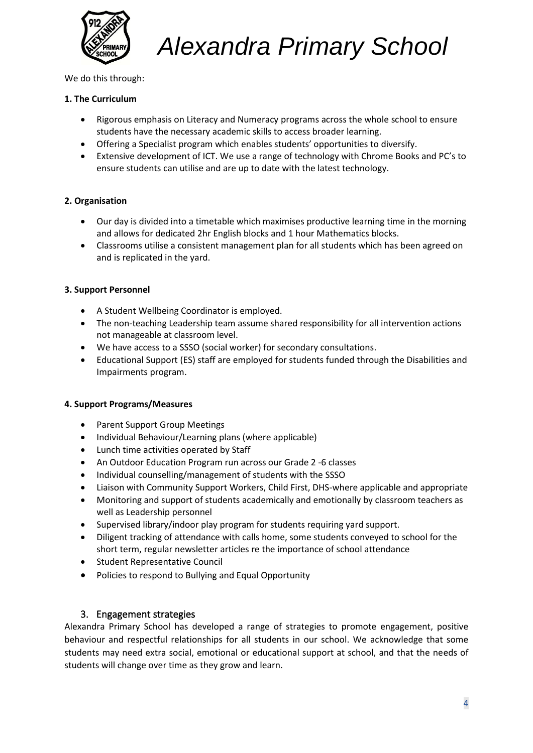

We do this through:

#### **1. The Curriculum**

- Rigorous emphasis on Literacy and Numeracy programs across the whole school to ensure students have the necessary academic skills to access broader learning.
- Offering a Specialist program which enables students' opportunities to diversify.
- Extensive development of ICT. We use a range of technology with Chrome Books and PC's to ensure students can utilise and are up to date with the latest technology.

#### **2. Organisation**

- Our day is divided into a timetable which maximises productive learning time in the morning and allows for dedicated 2hr English blocks and 1 hour Mathematics blocks.
- Classrooms utilise a consistent management plan for all students which has been agreed on and is replicated in the yard.

#### **3. Support Personnel**

- A Student Wellbeing Coordinator is employed.
- The non-teaching Leadership team assume shared responsibility for all intervention actions not manageable at classroom level.
- We have access to a SSSO (social worker) for secondary consultations.
- Educational Support (ES) staff are employed for students funded through the Disabilities and Impairments program.

#### **4. Support Programs/Measures**

- Parent Support Group Meetings
- Individual Behaviour/Learning plans (where applicable)
- Lunch time activities operated by Staff
- An Outdoor Education Program run across our Grade 2 -6 classes
- Individual counselling/management of students with the SSSO
- Liaison with Community Support Workers, Child First, DHS-where applicable and appropriate
- Monitoring and support of students academically and emotionally by classroom teachers as well as Leadership personnel
- Supervised library/indoor play program for students requiring yard support.
- Diligent tracking of attendance with calls home, some students conveyed to school for the short term, regular newsletter articles re the importance of school attendance
- Student Representative Council
- Policies to respond to Bullying and Equal Opportunity

#### 3. Engagement strategies

Alexandra Primary School has developed a range of strategies to promote engagement, positive behaviour and respectful relationships for all students in our school. We acknowledge that some students may need extra social, emotional or educational support at school, and that the needs of students will change over time as they grow and learn.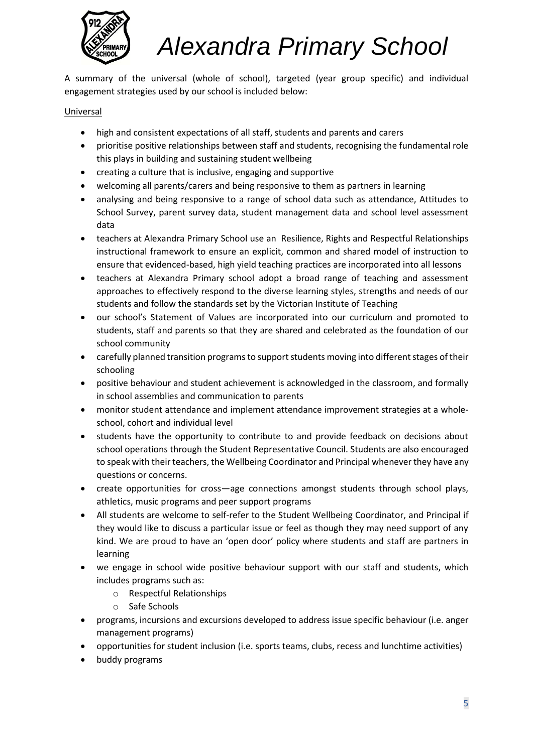

A summary of the universal (whole of school), targeted (year group specific) and individual engagement strategies used by our school is included below:

#### Universal

- high and consistent expectations of all staff, students and parents and carers
- prioritise positive relationships between staff and students, recognising the fundamental role this plays in building and sustaining student wellbeing
- creating a culture that is inclusive, engaging and supportive
- welcoming all parents/carers and being responsive to them as partners in learning
- analysing and being responsive to a range of school data such as attendance, Attitudes to School Survey, parent survey data, student management data and school level assessment data
- teachers at Alexandra Primary School use an Resilience, Rights and Respectful Relationships instructional framework to ensure an explicit, common and shared model of instruction to ensure that evidenced-based, high yield teaching practices are incorporated into all lessons
- teachers at Alexandra Primary school adopt a broad range of teaching and assessment approaches to effectively respond to the diverse learning styles, strengths and needs of our students and follow the standards set by the Victorian Institute of Teaching
- our school's Statement of Values are incorporated into our curriculum and promoted to students, staff and parents so that they are shared and celebrated as the foundation of our school community
- carefully planned transition programs to support students moving into different stages of their schooling
- positive behaviour and student achievement is acknowledged in the classroom, and formally in school assemblies and communication to parents
- monitor student attendance and implement attendance improvement strategies at a wholeschool, cohort and individual level
- students have the opportunity to contribute to and provide feedback on decisions about school operations through the Student Representative Council. Students are also encouraged to speak with their teachers, the Wellbeing Coordinator and Principal whenever they have any questions or concerns.
- create opportunities for cross—age connections amongst students through school plays, athletics, music programs and peer support programs
- All students are welcome to self-refer to the Student Wellbeing Coordinator, and Principal if they would like to discuss a particular issue or feel as though they may need support of any kind. We are proud to have an 'open door' policy where students and staff are partners in learning
- we engage in school wide positive behaviour support with our staff and students, which includes programs such as:
	- o Respectful Relationships
	- o Safe Schools
- programs, incursions and excursions developed to address issue specific behaviour (i.e. anger management programs)
- opportunities for student inclusion (i.e. sports teams, clubs, recess and lunchtime activities)
- buddy programs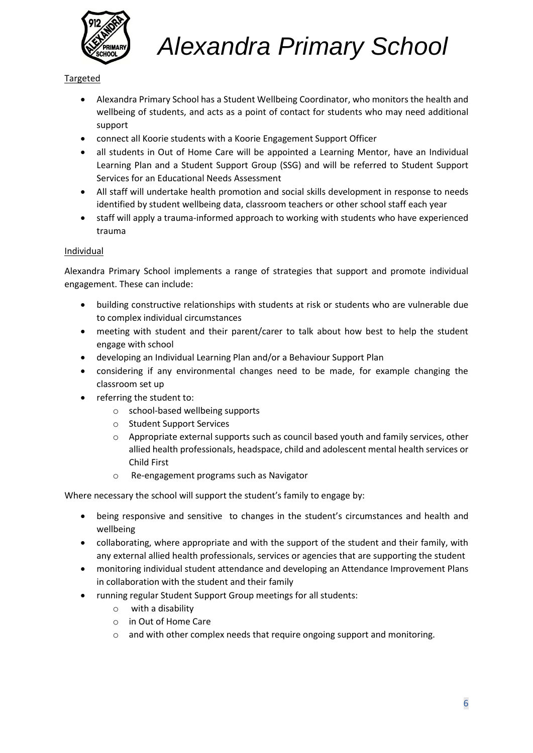

### Targeted

- Alexandra Primary School has a Student Wellbeing Coordinator, who monitors the health and wellbeing of students, and acts as a point of contact for students who may need additional support
- connect all Koorie students with a Koorie Engagement Support Officer
- all students in Out of Home Care will be appointed a Learning Mentor, have an Individual Learning Plan and a Student Support Group (SSG) and will be referred to Student Support Services for an Educational Needs Assessment
- All staff will undertake health promotion and social skills development in response to needs identified by student wellbeing data, classroom teachers or other school staff each year
- staff will apply a trauma-informed approach to working with students who have experienced trauma

#### Individual

Alexandra Primary School implements a range of strategies that support and promote individual engagement. These can include:

- building constructive relationships with students at risk or students who are vulnerable due to complex individual circumstances
- meeting with student and their parent/carer to talk about how best to help the student engage with school
- developing an Individual Learning Plan and/or a Behaviour Support Plan
- considering if any environmental changes need to be made, for example changing the classroom set up
- referring the student to:
	- o school-based wellbeing supports
	- o Student Support Services
	- $\circ$  Appropriate external supports such as council based youth and family services, other allied health professionals, headspace, child and adolescent mental health services or Child First
	- o Re-engagement programs such as Navigator

Where necessary the school will support the student's family to engage by:

- being responsive and sensitive to changes in the student's circumstances and health and wellbeing
- collaborating, where appropriate and with the support of the student and their family, with any external allied health professionals, services or agencies that are supporting the student
- monitoring individual student attendance and developing an Attendance Improvement Plans in collaboration with the student and their family
- running regular Student Support Group meetings for all students:
	- o with a disability
	- o in Out of Home Care
	- $\circ$  and with other complex needs that require ongoing support and monitoring.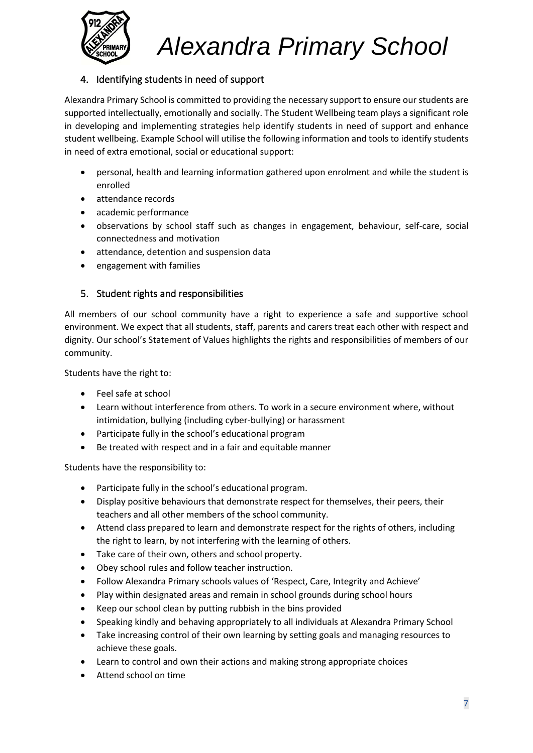

# 4. Identifying students in need of support

Alexandra Primary School is committed to providing the necessary support to ensure our students are supported intellectually, emotionally and socially. The Student Wellbeing team plays a significant role in developing and implementing strategies help identify students in need of support and enhance student wellbeing. Example School will utilise the following information and tools to identify students in need of extra emotional, social or educational support:

- personal, health and learning information gathered upon enrolment and while the student is enrolled
- attendance records
- academic performance
- observations by school staff such as changes in engagement, behaviour, self-care, social connectedness and motivation
- attendance, detention and suspension data
- engagement with families

## 5. Student rights and responsibilities

All members of our school community have a right to experience a safe and supportive school environment. We expect that all students, staff, parents and carers treat each other with respect and dignity. Our school's Statement of Values highlights the rights and responsibilities of members of our community.

Students have the right to:

- Feel safe at school
- Learn without interference from others. To work in a secure environment where, without intimidation, bullying (including cyber-bullying) or harassment
- Participate fully in the school's educational program
- Be treated with respect and in a fair and equitable manner

Students have the responsibility to:

- Participate fully in the school's educational program.
- Display positive behaviours that demonstrate respect for themselves, their peers, their teachers and all other members of the school community.
- Attend class prepared to learn and demonstrate respect for the rights of others, including the right to learn, by not interfering with the learning of others.
- Take care of their own, others and school property.
- Obey school rules and follow teacher instruction.
- Follow Alexandra Primary schools values of 'Respect, Care, Integrity and Achieve'
- Play within designated areas and remain in school grounds during school hours
- Keep our school clean by putting rubbish in the bins provided
- Speaking kindly and behaving appropriately to all individuals at Alexandra Primary School
- Take increasing control of their own learning by setting goals and managing resources to achieve these goals.
- Learn to control and own their actions and making strong appropriate choices
- Attend school on time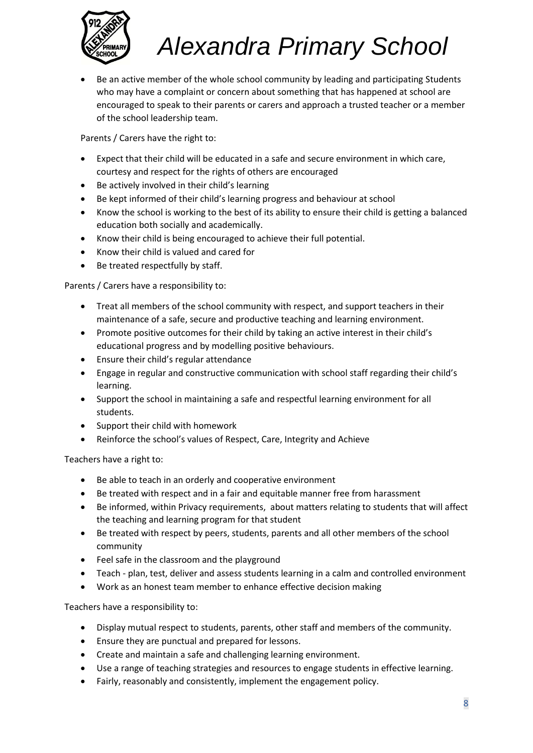

• Be an active member of the whole school community by leading and participating Students who may have a complaint or concern about something that has happened at school are encouraged to speak to their parents or carers and approach a trusted teacher or a member of the school leadership team.

Parents / Carers have the right to:

- Expect that their child will be educated in a safe and secure environment in which care, courtesy and respect for the rights of others are encouraged
- Be actively involved in their child's learning
- Be kept informed of their child's learning progress and behaviour at school
- Know the school is working to the best of its ability to ensure their child is getting a balanced education both socially and academically.
- Know their child is being encouraged to achieve their full potential.
- Know their child is valued and cared for
- Be treated respectfully by staff.

Parents / Carers have a responsibility to:

- Treat all members of the school community with respect, and support teachers in their maintenance of a safe, secure and productive teaching and learning environment.
- Promote positive outcomes for their child by taking an active interest in their child's educational progress and by modelling positive behaviours.
- Ensure their child's regular attendance
- Engage in regular and constructive communication with school staff regarding their child's learning.
- Support the school in maintaining a safe and respectful learning environment for all students.
- Support their child with homework
- Reinforce the school's values of Respect, Care, Integrity and Achieve

Teachers have a right to:

- Be able to teach in an orderly and cooperative environment
- Be treated with respect and in a fair and equitable manner free from harassment
- Be informed, within Privacy requirements, about matters relating to students that will affect the teaching and learning program for that student
- Be treated with respect by peers, students, parents and all other members of the school community
- Feel safe in the classroom and the playground
- Teach plan, test, deliver and assess students learning in a calm and controlled environment
- Work as an honest team member to enhance effective decision making

Teachers have a responsibility to:

- Display mutual respect to students, parents, other staff and members of the community.
- Ensure they are punctual and prepared for lessons.
- Create and maintain a safe and challenging learning environment.
- Use a range of teaching strategies and resources to engage students in effective learning.
- Fairly, reasonably and consistently, implement the engagement policy.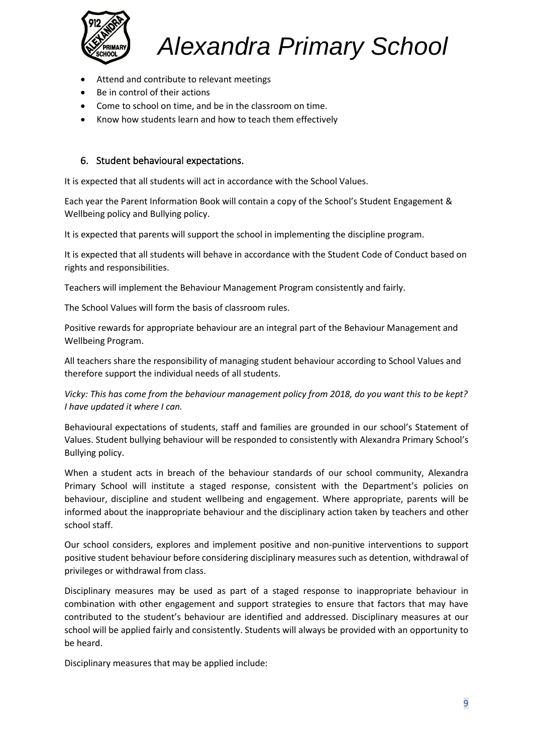

- Attend and contribute to relevant meetings
- Be in control of their actions
- Come to school on time, and be in the classroom on time.
- Know how students learn and how to teach them effectively

#### 6. Student behavioural expectations.

It is expected that all students will act in accordance with the School Values.

Each year the Parent Information Book will contain a copy of the School's Student Engagement & Wellbeing policy and Bullying policy.

It is expected that parents will support the school in implementing the discipline program.

It is expected that all students will behave in accordance with the Student Code of Conduct based on rights and responsibilities.

Teachers will implement the Behaviour Management Program consistently and fairly.

The School Values will form the basis of classroom rules.

Positive rewards for appropriate behaviour are an integral part of the Behaviour Management and Wellbeing Program.

All teachers share the responsibility of managing student behaviour according to School Values and therefore support the individual needs of all students.

*Vicky: This has come from the behaviour management policy from 2018, do you want this to be kept? I have updated it where I can.*

Behavioural expectations of students, staff and families are grounded in our school's Statement of Values. Student bullying behaviour will be responded to consistently with Alexandra Primary School's Bullying policy.

When a student acts in breach of the behaviour standards of our school community, Alexandra Primary School will institute a staged response, consistent with the Department's policies on behaviour, discipline and student wellbeing and engagement. Where appropriate, parents will be informed about the inappropriate behaviour and the disciplinary action taken by teachers and other school staff.

Our school considers, explores and implement positive and non-punitive interventions to support positive student behaviour before considering disciplinary measures such as detention, withdrawal of privileges or withdrawal from class.

Disciplinary measures may be used as part of a staged response to inappropriate behaviour in combination with other engagement and support strategies to ensure that factors that may have contributed to the student's behaviour are identified and addressed. Disciplinary measures at our school will be applied fairly and consistently. Students will always be provided with an opportunity to be heard.

Disciplinary measures that may be applied include: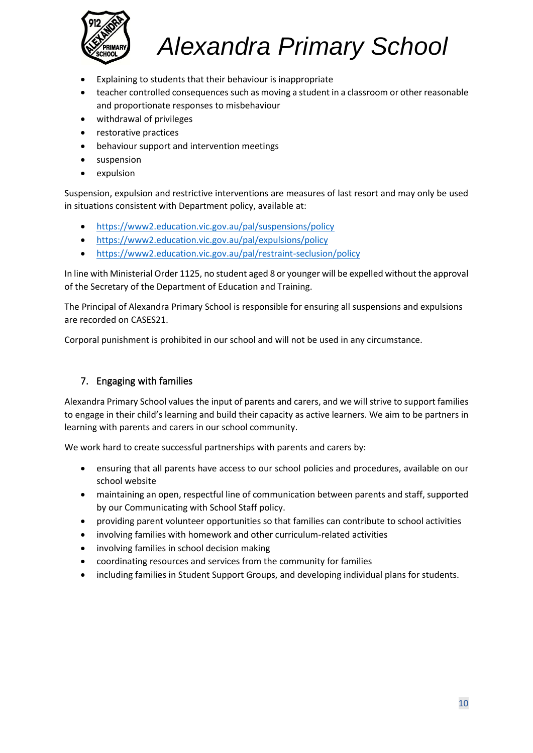

- Explaining to students that their behaviour is inappropriate
- teacher controlled consequences such as moving a student in a classroom or other reasonable and proportionate responses to misbehaviour
- withdrawal of privileges
- restorative practices
- behaviour support and intervention meetings
- suspension
- expulsion

Suspension, expulsion and restrictive interventions are measures of last resort and may only be used in situations consistent with Department policy, available at:

- <https://www2.education.vic.gov.au/pal/suspensions/policy>
- <https://www2.education.vic.gov.au/pal/expulsions/policy>
- <https://www2.education.vic.gov.au/pal/restraint-seclusion/policy>

In line with Ministerial Order 1125, no student aged 8 or younger will be expelled without the approval of the Secretary of the Department of Education and Training.

The Principal of Alexandra Primary School is responsible for ensuring all suspensions and expulsions are recorded on CASES21.

Corporal punishment is prohibited in our school and will not be used in any circumstance.

# 7. Engaging with families

Alexandra Primary School values the input of parents and carers, and we will strive to support families to engage in their child's learning and build their capacity as active learners. We aim to be partners in learning with parents and carers in our school community.

We work hard to create successful partnerships with parents and carers by:

- ensuring that all parents have access to our school policies and procedures, available on our school website
- maintaining an open, respectful line of communication between parents and staff, supported by our Communicating with School Staff policy.
- providing parent volunteer opportunities so that families can contribute to school activities
- involving families with homework and other curriculum-related activities
- involving families in school decision making
- coordinating resources and services from the community for families
- including families in Student Support Groups, and developing individual plans for students.